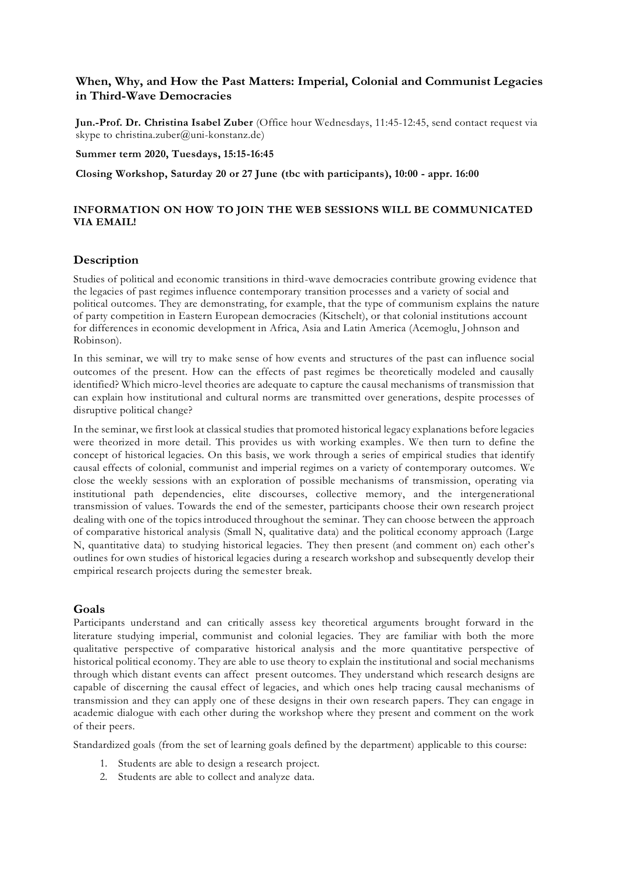# **When, Why, and How the Past Matters: Imperial, Colonial and Communist Legacies in Third-Wave Democracies**

**Jun.-Prof. Dr. Christina Isabel Zuber** (Office hour Wednesdays, 11:45-12:45, send contact request via skype to christina.zuber@uni-konstanz.de)

**Summer term 2020, Tuesdays, 15:15-16:45**

**Closing Workshop, Saturday 20 or 27 June (tbc with participants), 10:00 - appr. 16:00**

## **INFORMATION ON HOW TO JOIN THE WEB SESSIONS WILL BE COMMUNICATED VIA EMAIL!**

## **Description**

Studies of political and economic transitions in third-wave democracies contribute growing evidence that the legacies of past regimes influence contemporary transition processes and a variety of social and political outcomes. They are demonstrating, for example, that the type of communism explains the nature of party competition in Eastern European democracies (Kitschelt), or that colonial institutions account for differences in economic development in Africa, Asia and Latin America (Acemoglu, Johnson and Robinson).

In this seminar, we will try to make sense of how events and structures of the past can influence social outcomes of the present. How can the effects of past regimes be theoretically modeled and causally identified? Which micro-level theories are adequate to capture the causal mechanisms of transmission that can explain how institutional and cultural norms are transmitted over generations, despite processes of disruptive political change?

In the seminar, we first look at classical studies that promoted historical legacy explanations before legacies were theorized in more detail. This provides us with working examples. We then turn to define the concept of historical legacies. On this basis, we work through a series of empirical studies that identify causal effects of colonial, communist and imperial regimes on a variety of contemporary outcomes. We close the weekly sessions with an exploration of possible mechanisms of transmission, operating via institutional path dependencies, elite discourses, collective memory, and the intergenerational transmission of values. Towards the end of the semester, participants choose their own research project dealing with one of the topics introduced throughout the seminar. They can choose between the approach of comparative historical analysis (Small N, qualitative data) and the political economy approach (Large N, quantitative data) to studying historical legacies. They then present (and comment on) each other's outlines for own studies of historical legacies during a research workshop and subsequently develop their empirical research projects during the semester break.

## **Goals**

Participants understand and can critically assess key theoretical arguments brought forward in the literature studying imperial, communist and colonial legacies. They are familiar with both the more qualitative perspective of comparative historical analysis and the more quantitative perspective of historical political economy. They are able to use theory to explain the institutional and social mechanisms through which distant events can affect present outcomes. They understand which research designs are capable of discerning the causal effect of legacies, and which ones help tracing causal mechanisms of transmission and they can apply one of these designs in their own research papers. They can engage in academic dialogue with each other during the workshop where they present and comment on the work of their peers.

Standardized goals (from the set of learning goals defined by the department) applicable to this course:

- 1. Students are able to design a research project.
- 2. Students are able to collect and analyze data.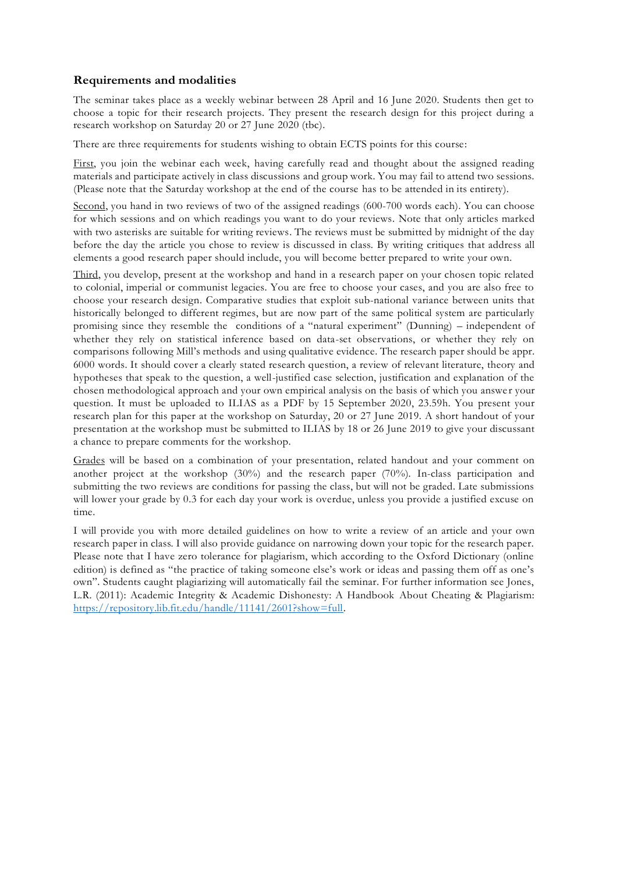# **Requirements and modalities**

The seminar takes place as a weekly webinar between 28 April and 16 June 2020. Students then get to choose a topic for their research projects. They present the research design for this project during a research workshop on Saturday 20 or 27 June 2020 (tbc).

There are three requirements for students wishing to obtain ECTS points for this course:

First, you join the webinar each week, having carefully read and thought about the assigned reading materials and participate actively in class discussions and group work. You may fail to attend two sessions. (Please note that the Saturday workshop at the end of the course has to be attended in its entirety).

Second, you hand in two reviews of two of the assigned readings (600-700 words each). You can choose for which sessions and on which readings you want to do your reviews. Note that only articles marked with two asterisks are suitable for writing reviews. The reviews must be submitted by midnight of the day before the day the article you chose to review is discussed in class. By writing critiques that address all elements a good research paper should include, you will become better prepared to write your own.

Third, you develop, present at the workshop and hand in a research paper on your chosen topic related to colonial, imperial or communist legacies. You are free to choose your cases, and you are also free to choose your research design. Comparative studies that exploit sub-national variance between units that historically belonged to different regimes, but are now part of the same political system are particularly promising since they resemble the conditions of a "natural experiment" (Dunning) – independent of whether they rely on statistical inference based on data-set observations, or whether they rely on comparisons following Mill's methods and using qualitative evidence. The research paper should be appr. 6000 words. It should cover a clearly stated research question, a review of relevant literature, theory and hypotheses that speak to the question, a well-justified case selection, justification and explanation of the chosen methodological approach and your own empirical analysis on the basis of which you answer your question. It must be uploaded to ILIAS as a PDF by 15 September 2020, 23.59h. You present your research plan for this paper at the workshop on Saturday, 20 or 27 June 2019. A short handout of your presentation at the workshop must be submitted to ILIAS by 18 or 26 June 2019 to give your discussant a chance to prepare comments for the workshop.

Grades will be based on a combination of your presentation, related handout and your comment on another project at the workshop (30%) and the research paper (70%). In-class participation and submitting the two reviews are conditions for passing the class, but will not be graded. Late submissions will lower your grade by 0.3 for each day your work is overdue, unless you provide a justified excuse on time.

I will provide you with more detailed guidelines on how to write a review of an article and your own research paper in class. I will also provide guidance on narrowing down your topic for the research paper. Please note that I have zero tolerance for plagiarism, which according to the Oxford Dictionary (online edition) is defined as "the practice of taking someone else's work or ideas and passing them off as one's own". Students caught plagiarizing will automatically fail the seminar. For further information see Jones, L.R. (2011): Academic Integrity & Academic Dishonesty: A Handbook About Cheating & Plagiarism: [https://repository.lib.fit.edu/handle/11141/2601?show=full.](https://repository.lib.fit.edu/handle/11141/2601?show=full)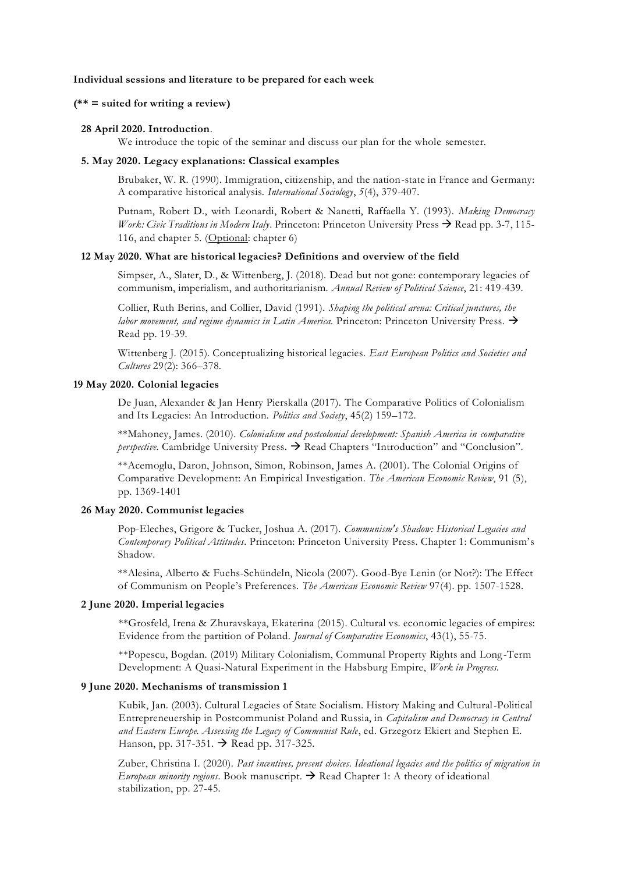### **Individual sessions and literature to be prepared for each week**

## **(\*\* = suited for writing a review)**

#### **28 April 2020. Introduction**.

We introduce the topic of the seminar and discuss our plan for the whole semester.

#### **5. May 2020. Legacy explanations: Classical examples**

Brubaker, W. R. (1990). Immigration, citizenship, and the nation-state in France and Germany: A comparative historical analysis. *International Sociology*, *5*(4), 379-407.

Putnam, Robert D., with Leonardi, Robert & Nanetti, Raffaella Y. (1993). *Making Democracy Work: Civic Traditions in Modern Italy*. Princeton: Princeton University Press → Read pp. 3-7, 115-116, and chapter 5. (Optional: chapter 6)

### **12 May 2020. What are historical legacies? Definitions and overview of the field**

Simpser, A., Slater, D., & Wittenberg, J. (2018). Dead but not gone: contemporary legacies of communism, imperialism, and authoritarianism. *Annual Review of Political Science*, 21: 419-439.

Collier, Ruth Berins, and Collier, David (1991). *Shaping the political arena: Critical junctures, the labor movement, and regime dynamics in Latin America.* Princeton: Princeton University Press. → Read pp. 19-39.

Wittenberg J. (2015). Conceptualizing historical legacies. *East European Politics and Societies and Cultures* 29(2): 366–378.

#### **19 May 2020. Colonial legacies**

De Juan, Alexander & Jan Henry Pierskalla (2017). The Comparative Politics of Colonialism and Its Legacies: An Introduction. *Politics and Society*, 45(2) 159–172.

\*\*Mahoney, James. (2010). *Colonialism and postcolonial development: Spanish America in comparative perspective*. Cambridge University Press. → Read Chapters "Introduction" and "Conclusion".

\*\*Acemoglu, Daron, Johnson, Simon, Robinson, James A. (2001). The Colonial Origins of Comparative Development: An Empirical Investigation. *The American Economic Review*, 91 (5), pp. 1369-1401

### **26 May 2020. Communist legacies**

Pop-Eleches, Grigore & Tucker, Joshua A. (2017). *Communism's Shadow: Historical Legacies and Contemporary Political Attitudes*. Princeton: Princeton University Press. Chapter 1: Communism's Shadow.

\*\*Alesina, Alberto & Fuchs-Schündeln, Nicola (2007). Good-Bye Lenin (or Not?): The Effect of Communism on People's Preferences. *The American Economic Review* 97(4). pp. 1507-1528.

#### **2 June 2020. Imperial legacies**

\*\*Grosfeld, Irena & Zhuravskaya, Ekaterina (2015). Cultural vs. economic legacies of empires: Evidence from the partition of Poland. *Journal of Comparative Economics*, 43(1), 55-75.

\*\*Popescu, Bogdan. (2019) Military Colonialism, Communal Property Rights and Long-Term Development: A Quasi-Natural Experiment in the Habsburg Empire, *Work in Progress.*

#### **9 June 2020. Mechanisms of transmission 1**

Kubik, Jan. (2003). Cultural Legacies of State Socialism. History Making and Cultural-Political Entrepreneuership in Postcommunist Poland and Russia, in *Capitalism and Democracy in Central and Eastern Europe. Assessing the Legacy of Communist Rule*, ed. Grzegorz Ekiert and Stephen E. Hanson, pp. 317-351. → Read pp. 317-325.

Zuber, Christina I. (2020). *Past incentives, present choices. Ideational legacies and the politics of migration in European minority regions*. Book manuscript. → Read Chapter 1: A theory of ideational stabilization, pp. 27-45.